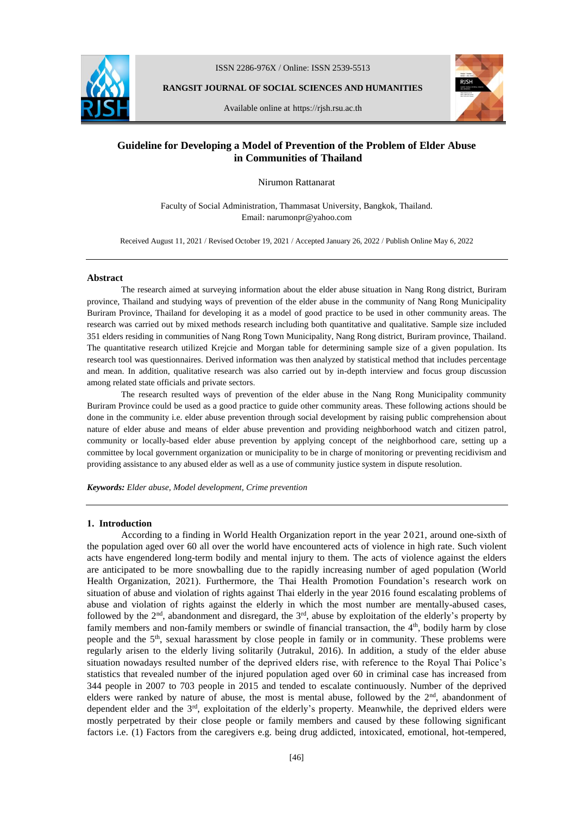

ISSN 2286-976X / Online: ISSN 2539-5513

**RANGSIT JOURNAL OF SOCIAL SCIENCES AND HUMANITIES**

Available online at https://rjsh.rsu.ac.th



# **Guideline for Developing a Model of Prevention of the Problem of Elder Abuse in Communities of Thailand**

Nirumon Rattanarat

Faculty of Social Administration, Thammasat University, Bangkok, Thailand. Email: narumonpr@yahoo.com

Received August 11, 2021 / Revised October 19, 2021 / Accepted January 26, 2022 / Publish Online May 6, 2022

#### **Abstract**

The research aimed at surveying information about the elder abuse situation in Nang Rong district, Buriram province, Thailand and studying ways of prevention of the elder abuse in the community of Nang Rong Municipality Buriram Province, Thailand for developing it as a model of good practice to be used in other community areas. The research was carried out by mixed methods research including both quantitative and qualitative. Sample size included 351 elders residing in communities of Nang Rong Town Municipality, Nang Rong district, Buriram province, Thailand. The quantitative research utilized Krejcie and Morgan table for determining sample size of a given population. Its research tool was questionnaires. Derived information was then analyzed by statistical method that includes percentage and mean. In addition, qualitative research was also carried out by in-depth interview and focus group discussion among related state officials and private sectors.

The research resulted ways of prevention of the elder abuse in the Nang Rong Municipality community Buriram Province could be used as a good practice to guide other community areas. These following actions should be done in the community i.e. elder abuse prevention through social development by raising public comprehension about nature of elder abuse and means of elder abuse prevention and providing neighborhood watch and citizen patrol, community or locally-based elder abuse prevention by applying concept of the neighborhood care, setting up a committee by local government organization or municipality to be in charge of monitoring or preventing recidivism and providing assistance to any abused elder as well as a use of community justice system in dispute resolution.

*Keywords: Elder abuse, Model development, Crime prevention*

#### **1. Introduction**

According to a finding in World Health Organization report in the year 2021, around one-sixth of the population aged over 60 all over the world have encountered acts of violence in high rate. Such violent acts have engendered long-term bodily and mental injury to them. The acts of violence against the elders are anticipated to be more snowballing due to the rapidly increasing number of aged population (World Health Organization, 2021). Furthermore, the Thai Health Promotion Foundation's research work on situation of abuse and violation of rights against Thai elderly in the year 2016 found escalating problems of abuse and violation of rights against the elderly in which the most number are mentally-abused cases, followed by the  $2<sup>nd</sup>$ , abandonment and disregard, the  $3<sup>rd</sup>$ , abuse by exploitation of the elderly's property by family members and non-family members or swindle of financial transaction, the  $4<sup>th</sup>$ , bodily harm by close people and the 5th, sexual harassment by close people in family or in community. These problems were regularly arisen to the elderly living solitarily (Jutrakul, 2016). In addition, a study of the elder abuse situation nowadays resulted number of the deprived elders rise, with reference to the Royal Thai Police's statistics that revealed number of the injured population aged over 60 in criminal case has increased from 344 people in 2007 to 703 people in 2015 and tended to escalate continuously. Number of the deprived elders were ranked by nature of abuse, the most is mental abuse, followed by the 2<sup>nd</sup>, abandonment of dependent elder and the  $3<sup>rd</sup>$ , exploitation of the elderly's property. Meanwhile, the deprived elders were mostly perpetrated by their close people or family members and caused by these following significant factors i.e. (1) Factors from the caregivers e.g. being drug addicted, intoxicated, emotional, hot-tempered,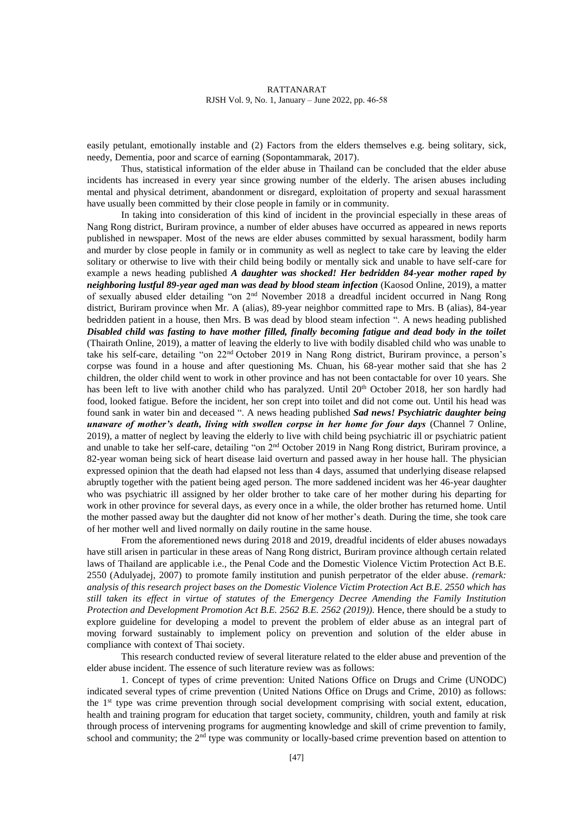easily petulant, emotionally instable and (2) Factors from the elders themselves e.g. being solitary, sick, needy, Dementia, poor and scarce of earning (Sopontammarak, 2017).

Thus, statistical information of the elder abuse in Thailand can be concluded that the elder abuse incidents has increased in every year since growing number of the elderly. The arisen abuses including mental and physical detriment, abandonment or disregard, exploitation of property and sexual harassment have usually been committed by their close people in family or in community.

In taking into consideration of this kind of incident in the provincial especially in these areas of Nang Rong district, Buriram province, a number of elder abuses have occurred as appeared in news reports published in newspaper. Most of the news are elder abuses committed by sexual harassment, bodily harm and murder by close people in family or in community as well as neglect to take care by leaving the elder solitary or otherwise to live with their child being bodily or mentally sick and unable to have self-care for example a news heading published *A daughter was shocked! Her bedridden 84-year mother raped by neighboring lustful 89-year aged man was dead by blood steam infection* (Kaosod Online, 2019), a matter of sexually abused elder detailing "on 2nd November 2018 a dreadful incident occurred in Nang Rong district, Buriram province when Mr. A (alias), 89-year neighbor committed rape to Mrs. B (alias), 84-year bedridden patient in a house, then Mrs. B was dead by blood steam infection ". A news heading published *Disabled child was fasting to have mother filled, finally becoming fatigue and dead body in the toilet*  (Thairath Online, 2019), a matter of leaving the elderly to live with bodily disabled child who was unable to take his self-care, detailing "on 22nd October 2019 in Nang Rong district, Buriram province, a person's corpse was found in a house and after questioning Ms. Chuan, his 68-year mother said that she has 2 children, the older child went to work in other province and has not been contactable for over 10 years. She has been left to live with another child who has paralyzed. Until 20<sup>th</sup> October 2018, her son hardly had food, looked fatigue. Before the incident, her son crept into toilet and did not come out. Until his head was found sank in water bin and deceased ". A news heading published *Sad news! Psychiatric daughter being unaware of mother's death, living with swollen corpse in her home for four days* (Channel 7 Online, 2019), a matter of neglect by leaving the elderly to live with child being psychiatric ill or psychiatric patient and unable to take her self-care, detailing "on 2nd October 2019 in Nang Rong district, Buriram province, a 82-year woman being sick of heart disease laid overturn and passed away in her house hall. The physician expressed opinion that the death had elapsed not less than 4 days, assumed that underlying disease relapsed abruptly together with the patient being aged person. The more saddened incident was her 46-year daughter who was psychiatric ill assigned by her older brother to take care of her mother during his departing for work in other province for several days, as every once in a while, the older brother has returned home. Until the mother passed away but the daughter did not know of her mother's death. During the time, she took care of her mother well and lived normally on daily routine in the same house.

From the aforementioned news during 2018 and 2019, dreadful incidents of elder abuses nowadays have still arisen in particular in these areas of Nang Rong district, Buriram province although certain related laws of Thailand are applicable i.e., the Penal Code and the Domestic Violence Victim Protection Act B.E. 2550 (Adulyadej, 2007) to promote family institution and punish perpetrator of the elder abuse. *(remark: analysis of this research project bases on the Domestic Violence Victim Protection Act B.E. 2550 which has still taken its effect in virtue of statutes of the Emergency Decree Amending the Family Institution Protection and Development Promotion Act B.E. 2562 B.E. 2562 (2019)).* Hence, there should be a study to explore guideline for developing a model to prevent the problem of elder abuse as an integral part of moving forward sustainably to implement policy on prevention and solution of the elder abuse in compliance with context of Thai society.

This research conducted review of several literature related to the elder abuse and prevention of the elder abuse incident. The essence of such literature review was as follows:

1. Concept of types of crime prevention: United Nations Office on Drugs and Crime (UNODC) indicated several types of crime prevention (United Nations Office on Drugs and Crime, 2010) as follows: the 1st type was crime prevention through social development comprising with social extent, education, health and training program for education that target society, community, children, youth and family at risk through process of intervening programs for augmenting knowledge and skill of crime prevention to family, school and community; the 2<sup>nd</sup> type was community or locally-based crime prevention based on attention to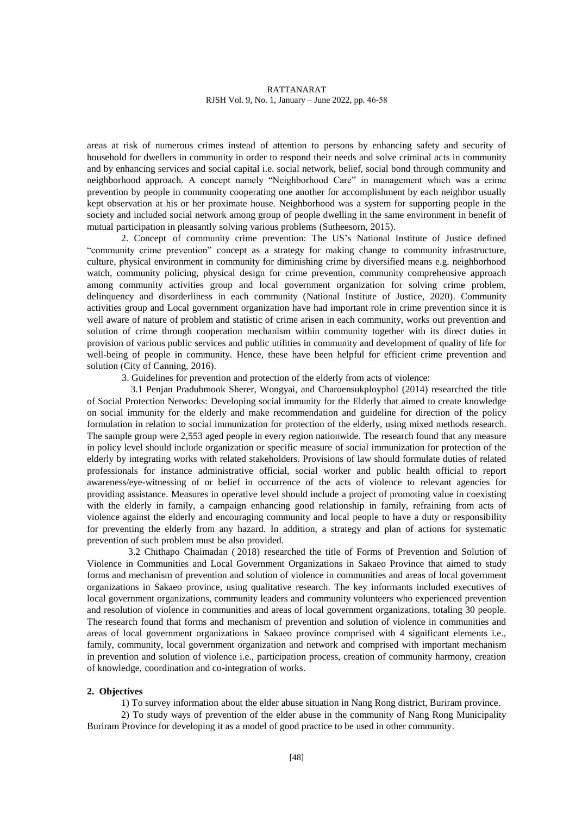areas at risk of numerous crimes instead of attention to persons by enhancing safety and security of household for dwellers in community in order to respond their needs and solve criminal acts in community and by enhancing services and social capital i.e. social network, belief, social bond through community and neighborhood approach. A concept namely "Neighborhood Care" in management which was a crime prevention by people in community cooperating one another for accomplishment by each neighbor usually kept observation at his or her proximate house. Neighborhood was a system for supporting people in the society and included social network among group of people dwelling in the same environment in benefit of mutual participation in pleasantly solving various problems (Sutheesorn, 2015).

2. Concept of community crime prevention: The US's National Institute of Justice defined "community crime prevention" concept as a strategy for making change to community infrastructure, culture, physical environment in community for diminishing crime by diversified means e.g. neighborhood watch, community policing, physical design for crime prevention, community comprehensive approach among community activities group and local government organization for solving crime problem, delinquency and disorderliness in each community (National Institute of Justice, 2020). Community activities group and Local government organization have had important role in crime prevention since it is well aware of nature of problem and statistic of crime arisen in each community, works out prevention and solution of crime through cooperation mechanism within community together with its direct duties in provision of various public services and public utilities in community and development of quality of life for well-being of people in community. Hence, these have been helpful for efficient crime prevention and solution (City of Canning, 2016).

3. Guidelines for prevention and protection of the elderly from acts of violence:

3.1 Penjan Pradubmook Sherer, Wongyai, and Charoensukployphol (2014) researched the title of Social Protection Networks: Developing social immunity for the Elderly that aimed to create knowledge on social immunity for the elderly and make recommendation and guideline for direction of the policy formulation in relation to social immunization for protection of the elderly, using mixed methods research. The sample group were 2,553 aged people in every region nationwide. The research found that any measure in policy level should include organization or specific measure of social immunization for protection of the elderly by integrating works with related stakeholders. Provisions of law should formulate duties of related professionals for instance administrative official, social worker and public health official to report awareness/eye-witnessing of or belief in occurrence of the acts of violence to relevant agencies for providing assistance. Measures in operative level should include a project of promoting value in coexisting with the elderly in family, a campaign enhancing good relationship in family, refraining from acts of violence against the elderly and encouraging community and local people to have a duty or responsibility for preventing the elderly from any hazard. In addition, a strategy and plan of actions for systematic prevention of such problem must be also provided.

3.2 Chithapo Chaimadan ( 2018) researched the title of Forms of Prevention and Solution of Violence in Communities and Local Government Organizations in Sakaeo Province that aimed to study forms and mechanism of prevention and solution of violence in communities and areas of local government organizations in Sakaeo province, using qualitative research. The key informants included executives of local government organizations, community leaders and community volunteers who experienced prevention and resolution of violence in communities and areas of local government organizations, totaling 30 people. The research found that forms and mechanism of prevention and solution of violence in communities and areas of local government organizations in Sakaeo province comprised with 4 significant elements i.e., family, community, local government organization and network and comprised with important mechanism in prevention and solution of violence i.e., participation process, creation of community harmony, creation of knowledge, coordination and co-integration of works.

# **2. Objectives**

1) To survey information about the elder abuse situation in Nang Rong district, Buriram province.

2) To study ways of prevention of the elder abuse in the community of Nang Rong Municipality Buriram Province for developing it as a model of good practice to be used in other community.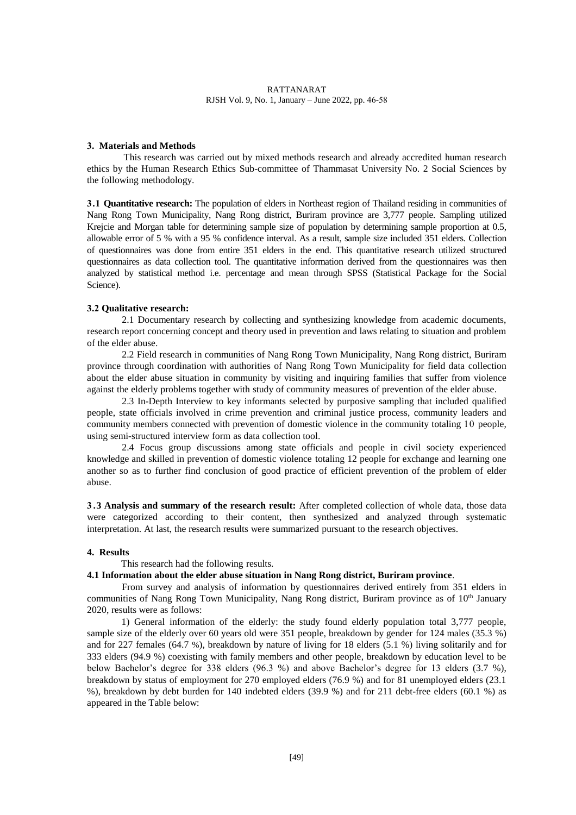## **3. Materials and Methods**

This research was carried out by mixed methods research and already accredited human research ethics by the Human Research Ethics Sub-committee of Thammasat University No. 2 Social Sciences by the following methodology.

**3.1 Quantitative research:** The population of elders in Northeast region of Thailand residing in communities of Nang Rong Town Municipality, Nang Rong district, Buriram province are 3,777 people. Sampling utilized Krejcie and Morgan table for determining sample size of population by determining sample proportion at 0.5, allowable error of 5 % with a 95 % confidence interval. As a result, sample size included 351 elders. Collection of questionnaires was done from entire 351 elders in the end. This quantitative research utilized structured questionnaires as data collection tool. The quantitative information derived from the questionnaires was then analyzed by statistical method i.e. percentage and mean through SPSS (Statistical Package for the Social Science).

#### **3.2 Qualitative research:**

2.1 Documentary research by collecting and synthesizing knowledge from academic documents, research report concerning concept and theory used in prevention and laws relating to situation and problem of the elder abuse.

2.2 Field research in communities of Nang Rong Town Municipality, Nang Rong district, Buriram province through coordination with authorities of Nang Rong Town Municipality for field data collection about the elder abuse situation in community by visiting and inquiring families that suffer from violence against the elderly problems together with study of community measures of prevention of the elder abuse.

2.3 In-Depth Interview to key informants selected by purposive sampling that included qualified people, state officials involved in crime prevention and criminal justice process, community leaders and community members connected with prevention of domestic violence in the community totaling 10 people, using semi-structured interview form as data collection tool.

2.4 Focus group discussions among state officials and people in civil society experienced knowledge and skilled in prevention of domestic violence totaling 12 people for exchange and learning one another so as to further find conclusion of good practice of efficient prevention of the problem of elder abuse.

**3 .3 Analysis and summary of the research result:** After completed collection of whole data, those data were categorized according to their content, then synthesized and analyzed through systematic interpretation. At last, the research results were summarized pursuant to the research objectives.

### **4. Results**

#### This research had the following results.

# **4.1 Information about the elder abuse situation in Nang Rong district, Buriram province**.

From survey and analysis of information by questionnaires derived entirely from 351 elders in communities of Nang Rong Town Municipality, Nang Rong district, Buriram province as of 10<sup>th</sup> January 2020, results were as follows:

1) General information of the elderly: the study found elderly population total 3,777 people, sample size of the elderly over 60 years old were 351 people, breakdown by gender for 124 males (35.3 %) and for 227 females (64.7 %), breakdown by nature of living for 18 elders (5.1 %) living solitarily and for 333 elders (94.9 %) coexisting with family members and other people, breakdown by education level to be below Bachelor's degree for 338 elders (96.3 %) and above Bachelor's degree for 13 elders (3.7 %), breakdown by status of employment for 270 employed elders (76.9 %) and for 81 unemployed elders (23.1 %), breakdown by debt burden for 140 indebted elders (39.9 %) and for 211 debt-free elders (60.1 %) as appeared in the Table below: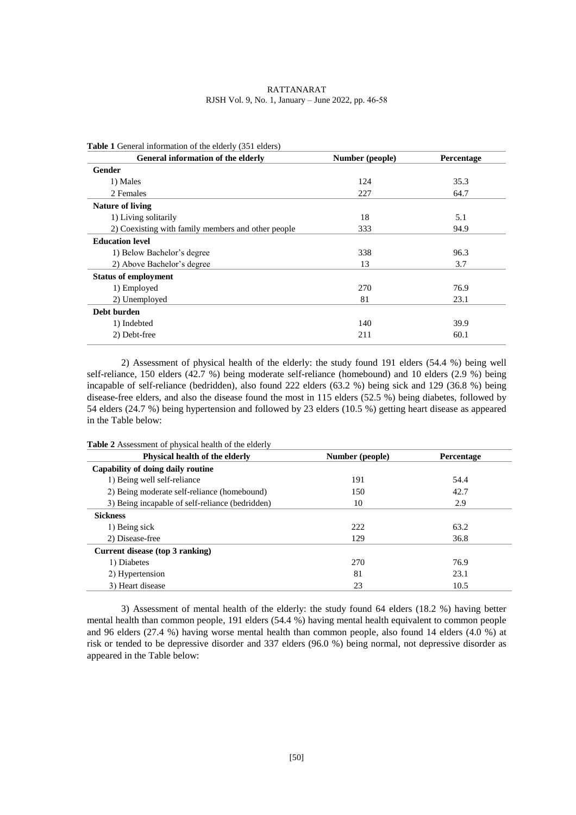| <b>RATTANARAT</b>                                  |
|----------------------------------------------------|
| RJSH Vol. 9, No. 1, January – June 2022, pp. 46-58 |

| General information of the elderly                 | Number (people) | <b>Percentage</b> |
|----------------------------------------------------|-----------------|-------------------|
| <b>Gender</b>                                      |                 |                   |
| 1) Males                                           | 124             | 35.3              |
| 2 Females                                          | 227             | 64.7              |
| <b>Nature of living</b>                            |                 |                   |
| 1) Living solitarily                               | 18              | 5.1               |
| 2) Coexisting with family members and other people | 333             | 94.9              |
| <b>Education level</b>                             |                 |                   |
| 1) Below Bachelor's degree                         | 338             | 96.3              |
| 2) Above Bachelor's degree                         | 13              | 3.7               |
| <b>Status of employment</b>                        |                 |                   |
| 1) Employed                                        | 270             | 76.9              |
| 2) Unemployed                                      | 81              | 23.1              |
| Debt burden                                        |                 |                   |
| 1) Indebted                                        | 140             | 39.9              |
| 2) Debt-free                                       | 211             | 60.1              |
|                                                    |                 |                   |

2) Assessment of physical health of the elderly: the study found 191 elders (54.4 %) being well self-reliance, 150 elders (42.7 %) being moderate self-reliance (homebound) and 10 elders (2.9 %) being incapable of self-reliance (bedridden), also found 222 elders (63.2 %) being sick and 129 (36.8 %) being disease-free elders, and also the disease found the most in 115 elders (52.5 %) being diabetes, followed by 54 elders (24.7 %) being hypertension and followed by 23 elders (10.5 %) getting heart disease as appeared in the Table below:

| Physical health of the elderly                  | Number (people) | Percentage |
|-------------------------------------------------|-----------------|------------|
| Capability of doing daily routine               |                 |            |
| 1) Being well self-reliance                     | 191             | 54.4       |
| 2) Being moderate self-reliance (homebound)     | 150             | 42.7       |
| 3) Being incapable of self-reliance (bedridden) | 10              | 2.9        |
| <b>Sickness</b>                                 |                 |            |
| 1) Being sick                                   | 222             | 63.2       |
| 2) Disease-free                                 | 129             | 36.8       |
| Current disease (top 3 ranking)                 |                 |            |
| 1) Diabetes                                     | 270             | 76.9       |
| 2) Hypertension                                 | 81              | 23.1       |
| 3) Heart disease                                | 23              | 10.5       |

**Table 2** Assessment of physical health of the elderly

3) Assessment of mental health of the elderly: the study found 64 elders (18.2 %) having better mental health than common people, 191 elders (54.4 %) having mental health equivalent to common people and 96 elders (27.4 %) having worse mental health than common people, also found 14 elders (4.0 %) at risk or tended to be depressive disorder and 337 elders (96.0 %) being normal, not depressive disorder as appeared in the Table below: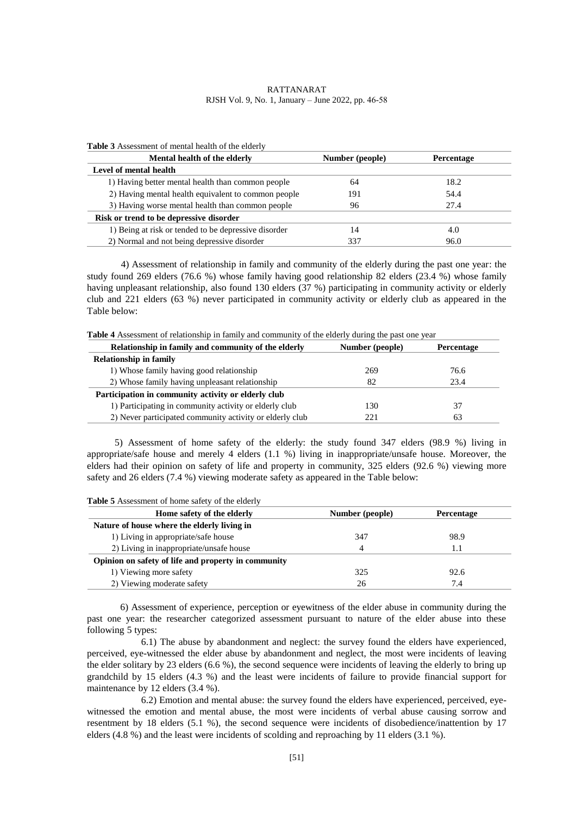| <b>Table 5</b> Assessment of memal nearly of the elderly |                 |                   |
|----------------------------------------------------------|-----------------|-------------------|
| Mental health of the elderly                             | Number (people) | <b>Percentage</b> |
| Level of mental health                                   |                 |                   |
| 1) Having better mental health than common people        | 64              | 18.2              |
| 2) Having mental health equivalent to common people      | 191             | 54.4              |
| 3) Having worse mental health than common people         | 96              | 27.4              |
| Risk or trend to be depressive disorder                  |                 |                   |
| 1) Being at risk or tended to be depressive disorder     | 14              | 4.0               |
| 2) Normal and not being depressive disorder              | 337             | 96.0              |

**Table 3** Assessment of mental health of the elderly

4) Assessment of relationship in family and community of the elderly during the past one year: the study found 269 elders (76.6 %) whose family having good relationship 82 elders (23.4 %) whose family having unpleasant relationship, also found 130 elders (37 %) participating in community activity or elderly club and 221 elders (63 %) never participated in community activity or elderly club as appeared in the Table below:

| Relationship in family and community of the elderly      | Number (people) | <b>Percentage</b> |
|----------------------------------------------------------|-----------------|-------------------|
| <b>Relationship in family</b>                            |                 |                   |
| 1) Whose family having good relationship                 | 269             | 76.6              |
| 2) Whose family having unpleasant relationship           | 82              | 23.4              |
| Participation in community activity or elderly club      |                 |                   |
| 1) Participating in community activity or elderly club   | 130             |                   |
| 2) Never participated community activity or elderly club | 221             | 63                |

5) Assessment of home safety of the elderly: the study found 347 elders (98.9 %) living in appropriate/safe house and merely 4 elders (1.1 %) living in inappropriate/unsafe house. Moreover, the elders had their opinion on safety of life and property in community, 325 elders (92.6 %) viewing more safety and 26 elders (7.4 %) viewing moderate safety as appeared in the Table below:

| Home safety of the elderly                          | Number (people) | <b>Percentage</b> |
|-----------------------------------------------------|-----------------|-------------------|
| Nature of house where the elderly living in         |                 |                   |
| 1) Living in appropriate/safe house                 | 347             | 98.9              |
| 2) Living in inappropriate/unsafe house             | 4               |                   |
| Opinion on safety of life and property in community |                 |                   |
| 1) Viewing more safety                              | 325             | 92.6              |
| 2) Viewing moderate safety                          | 26              | 7.4               |

**Table 5** Assessment of home safety of the elderly

6) Assessment of experience, perception or eyewitness of the elder abuse in community during the past one year: the researcher categorized assessment pursuant to nature of the elder abuse into these following 5 types:

6.1) The abuse by abandonment and neglect: the survey found the elders have experienced, perceived, eye-witnessed the elder abuse by abandonment and neglect, the most were incidents of leaving the elder solitary by 23 elders (6.6 %), the second sequence were incidents of leaving the elderly to bring up grandchild by 15 elders (4.3 %) and the least were incidents of failure to provide financial support for maintenance by 12 elders (3.4 %).

6.2) Emotion and mental abuse: the survey found the elders have experienced, perceived, eyewitnessed the emotion and mental abuse, the most were incidents of verbal abuse causing sorrow and resentment by 18 elders (5.1 %), the second sequence were incidents of disobedience/inattention by 17 elders (4.8 %) and the least were incidents of scolding and reproaching by 11 elders (3.1 %).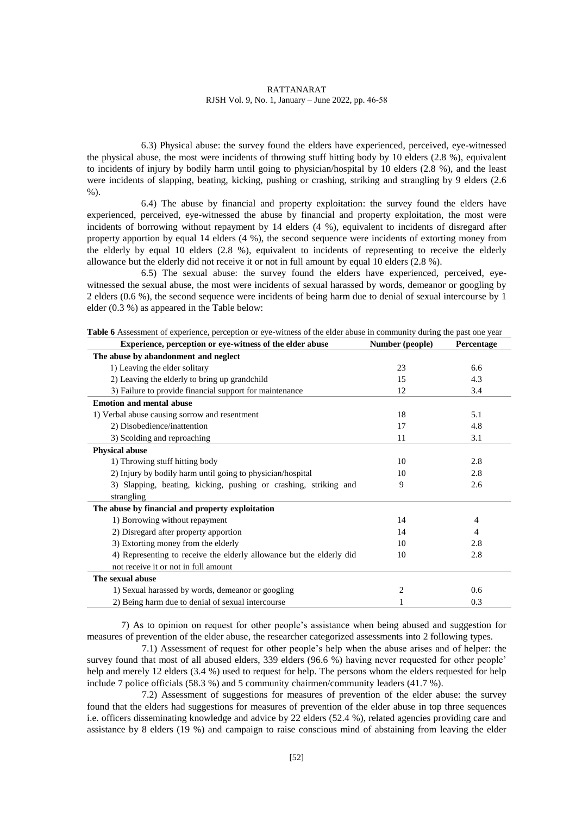6.3) Physical abuse: the survey found the elders have experienced, perceived, eye-witnessed the physical abuse, the most were incidents of throwing stuff hitting body by 10 elders (2.8 %), equivalent to incidents of injury by bodily harm until going to physician/hospital by 10 elders (2.8 %), and the least were incidents of slapping, beating, kicking, pushing or crashing, striking and strangling by 9 elders (2.6 %).

6.4) The abuse by financial and property exploitation: the survey found the elders have experienced, perceived, eye-witnessed the abuse by financial and property exploitation, the most were incidents of borrowing without repayment by 14 elders (4 %), equivalent to incidents of disregard after property apportion by equal 14 elders (4 %), the second sequence were incidents of extorting money from the elderly by equal 10 elders (2.8 %), equivalent to incidents of representing to receive the elderly allowance but the elderly did not receive it or not in full amount by equal 10 elders (2.8 %).

6.5) The sexual abuse: the survey found the elders have experienced, perceived, eyewitnessed the sexual abuse, the most were incidents of sexual harassed by words, demeanor or googling by 2 elders (0.6 %), the second sequence were incidents of being harm due to denial of sexual intercourse by 1 elder (0.3 %) as appeared in the Table below:

| Experience, perception or eye-witness of the elder abuse             | Number (people) | Percentage |
|----------------------------------------------------------------------|-----------------|------------|
| The abuse by abandonment and neglect                                 |                 |            |
| 1) Leaving the elder solitary                                        | 23              | 6.6        |
| 2) Leaving the elderly to bring up grandchild                        | 15              | 4.3        |
| 3) Failure to provide financial support for maintenance              | 12              | 3.4        |
| <b>Emotion and mental abuse</b>                                      |                 |            |
| 1) Verbal abuse causing sorrow and resentment                        | 18              | 5.1        |
| 2) Disobedience/inattention                                          | 17              | 4.8        |
| 3) Scolding and reproaching                                          | 11              | 3.1        |
| <b>Physical abuse</b>                                                |                 |            |
| 1) Throwing stuff hitting body                                       | 10              | 2.8        |
| 2) Injury by bodily harm until going to physician/hospital           | 10              | 2.8        |
| 3) Slapping, beating, kicking, pushing or crashing, striking and     | 9               | 2.6        |
| strangling                                                           |                 |            |
| The abuse by financial and property exploitation                     |                 |            |
| 1) Borrowing without repayment                                       | 14              | 4          |
| 2) Disregard after property apportion                                | 14              | 4          |
| 3) Extorting money from the elderly                                  | 10              | 2.8        |
| 4) Representing to receive the elderly allowance but the elderly did | 10              | 2.8        |
| not receive it or not in full amount                                 |                 |            |
| The sexual abuse                                                     |                 |            |
| 1) Sexual harassed by words, demeanor or googling                    | 2               | 0.6        |
| 2) Being harm due to denial of sexual intercourse                    |                 | 0.3        |

**Table 6** Assessment of experience, perception or eye-witness of the elder abuse in community during the past one year

7) As to opinion on request for other people's assistance when being abused and suggestion for measures of prevention of the elder abuse, the researcher categorized assessments into 2 following types.

7.1) Assessment of request for other people's help when the abuse arises and of helper: the survey found that most of all abused elders, 339 elders (96.6 %) having never requested for other people' help and merely 12 elders (3.4 %) used to request for help. The persons whom the elders requested for help include 7 police officials (58.3 %) and 5 community chairmen/community leaders (41.7 %).

7.2) Assessment of suggestions for measures of prevention of the elder abuse: the survey found that the elders had suggestions for measures of prevention of the elder abuse in top three sequences i.e. officers disseminating knowledge and advice by 22 elders (52.4 %), related agencies providing care and assistance by 8 elders (19 %) and campaign to raise conscious mind of abstaining from leaving the elder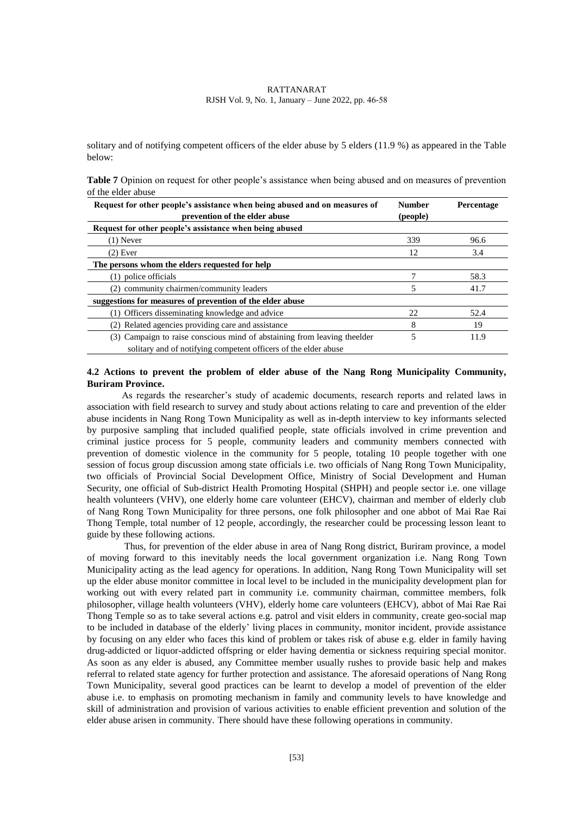solitary and of notifying competent officers of the elder abuse by 5 elders (11.9 %) as appeared in the Table below:

| Table 7 Opinion on request for other people's assistance when being abused and on measures of prevention |  |  |  |  |
|----------------------------------------------------------------------------------------------------------|--|--|--|--|
| of the elder abuse                                                                                       |  |  |  |  |

| Request for other people's assistance when being abused and on measures of | <b>Number</b> | Percentage |
|----------------------------------------------------------------------------|---------------|------------|
| prevention of the elder abuse                                              | (people)      |            |
| Request for other people's assistance when being abused                    |               |            |
| $(1)$ Never                                                                | 339           | 96.6       |
| $(2)$ Ever                                                                 | 12            | 3.4        |
| The persons whom the elders requested for help                             |               |            |
| police officials                                                           |               | 58.3       |
| (2) community chairmen/community leaders                                   | 5             | 41.7       |
| suggestions for measures of prevention of the elder abuse                  |               |            |
| (1) Officers disseminating knowledge and advice                            | 22            | 52.4       |
| Related agencies providing care and assistance                             | 8             | 19         |
| (3) Campaign to raise conscious mind of abstaining from leaving the elder  | 5             | 11.9       |
| solitary and of notifying competent officers of the elder abuse            |               |            |

# **4.2 Actions to prevent the problem of elder abuse of the Nang Rong Municipality Community, Buriram Province.**

As regards the researcher's study of academic documents, research reports and related laws in association with field research to survey and study about actions relating to care and prevention of the elder abuse incidents in Nang Rong Town Municipality as well as in-depth interview to key informants selected by purposive sampling that included qualified people, state officials involved in crime prevention and criminal justice process for 5 people, community leaders and community members connected with prevention of domestic violence in the community for 5 people, totaling 10 people together with one session of focus group discussion among state officials i.e. two officials of Nang Rong Town Municipality, two officials of Provincial Social Development Office, Ministry of Social Development and Human Security, one official of Sub-district Health Promoting Hospital (SHPH) and people sector i.e. one village health volunteers (VHV), one elderly home care volunteer (EHCV), chairman and member of elderly club of Nang Rong Town Municipality for three persons, one folk philosopher and one abbot of Mai Rae Rai Thong Temple, total number of 12 people, accordingly, the researcher could be processing lesson leant to guide by these following actions.

Thus, for prevention of the elder abuse in area of Nang Rong district, Buriram province, a model of moving forward to this inevitably needs the local government organization i.e. Nang Rong Town Municipality acting as the lead agency for operations. In addition, Nang Rong Town Municipality will set up the elder abuse monitor committee in local level to be included in the municipality development plan for working out with every related part in community i.e. community chairman, committee members, folk philosopher, village health volunteers (VHV), elderly home care volunteers (EHCV), abbot of Mai Rae Rai Thong Temple so as to take several actions e.g. patrol and visit elders in community, create geo-social map to be included in database of the elderly' living places in community, monitor incident, provide assistance by focusing on any elder who faces this kind of problem or takes risk of abuse e.g. elder in family having drug-addicted or liquor-addicted offspring or elder having dementia or sickness requiring special monitor. As soon as any elder is abused, any Committee member usually rushes to provide basic help and makes referral to related state agency for further protection and assistance. The aforesaid operations of Nang Rong Town Municipality, several good practices can be learnt to develop a model of prevention of the elder abuse i.e. to emphasis on promoting mechanism in family and community levels to have knowledge and skill of administration and provision of various activities to enable efficient prevention and solution of the elder abuse arisen in community. There should have these following operations in community.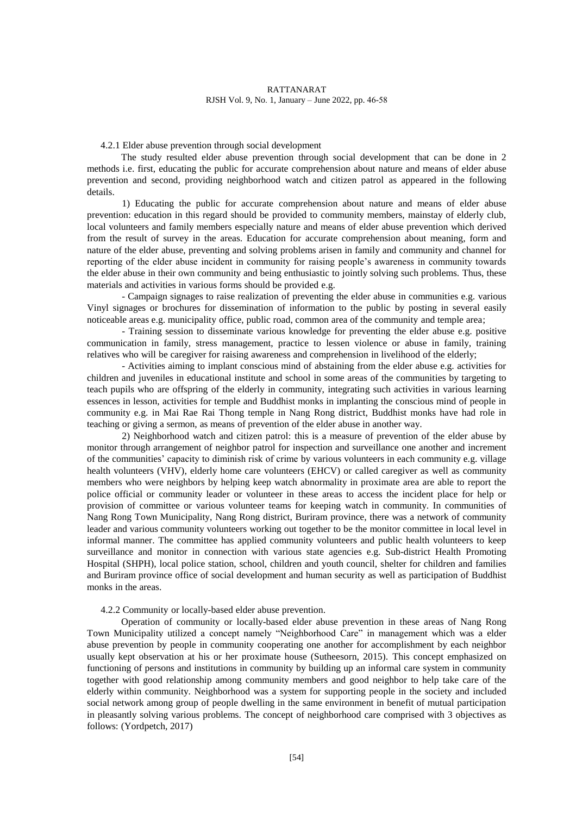## 4.2.1 Elder abuse prevention through social development

The study resulted elder abuse prevention through social development that can be done in 2 methods i.e. first, educating the public for accurate comprehension about nature and means of elder abuse prevention and second, providing neighborhood watch and citizen patrol as appeared in the following details.

1) Educating the public for accurate comprehension about nature and means of elder abuse prevention: education in this regard should be provided to community members, mainstay of elderly club, local volunteers and family members especially nature and means of elder abuse prevention which derived from the result of survey in the areas. Education for accurate comprehension about meaning, form and nature of the elder abuse, preventing and solving problems arisen in family and community and channel for reporting of the elder abuse incident in community for raising people's awareness in community towards the elder abuse in their own community and being enthusiastic to jointly solving such problems. Thus, these materials and activities in various forms should be provided e.g.

- Campaign signages to raise realization of preventing the elder abuse in communities e.g. various Vinyl signages or brochures for dissemination of information to the public by posting in several easily noticeable areas e.g. municipality office, public road, common area of the community and temple area;

- Training session to disseminate various knowledge for preventing the elder abuse e.g. positive communication in family, stress management, practice to lessen violence or abuse in family, training relatives who will be caregiver for raising awareness and comprehension in livelihood of the elderly;

- Activities aiming to implant conscious mind of abstaining from the elder abuse e.g. activities for children and juveniles in educational institute and school in some areas of the communities by targeting to teach pupils who are offspring of the elderly in community, integrating such activities in various learning essences in lesson, activities for temple and Buddhist monks in implanting the conscious mind of people in community e.g. in Mai Rae Rai Thong temple in Nang Rong district, Buddhist monks have had role in teaching or giving a sermon, as means of prevention of the elder abuse in another way.

2) Neighborhood watch and citizen patrol: this is a measure of prevention of the elder abuse by monitor through arrangement of neighbor patrol for inspection and surveillance one another and increment of the communities' capacity to diminish risk of crime by various volunteers in each community e.g. village health volunteers (VHV), elderly home care volunteers (EHCV) or called caregiver as well as community members who were neighbors by helping keep watch abnormality in proximate area are able to report the police official or community leader or volunteer in these areas to access the incident place for help or provision of committee or various volunteer teams for keeping watch in community. In communities of Nang Rong Town Municipality, Nang Rong district, Buriram province, there was a network of community leader and various community volunteers working out together to be the monitor committee in local level in informal manner. The committee has applied community volunteers and public health volunteers to keep surveillance and monitor in connection with various state agencies e.g. Sub-district Health Promoting Hospital (SHPH), local police station, school, children and youth council, shelter for children and families and Buriram province office of social development and human security as well as participation of Buddhist monks in the areas.

#### 4.2.2 Community or locally-based elder abuse prevention.

Operation of community or locally-based elder abuse prevention in these areas of Nang Rong Town Municipality utilized a concept namely "Neighborhood Care" in management which was a elder abuse prevention by people in community cooperating one another for accomplishment by each neighbor usually kept observation at his or her proximate house (Sutheesorn, 2015). This concept emphasized on functioning of persons and institutions in community by building up an informal care system in community together with good relationship among community members and good neighbor to help take care of the elderly within community. Neighborhood was a system for supporting people in the society and included social network among group of people dwelling in the same environment in benefit of mutual participation in pleasantly solving various problems. The concept of neighborhood care comprised with 3 objectives as follows: (Yordpetch, 2017)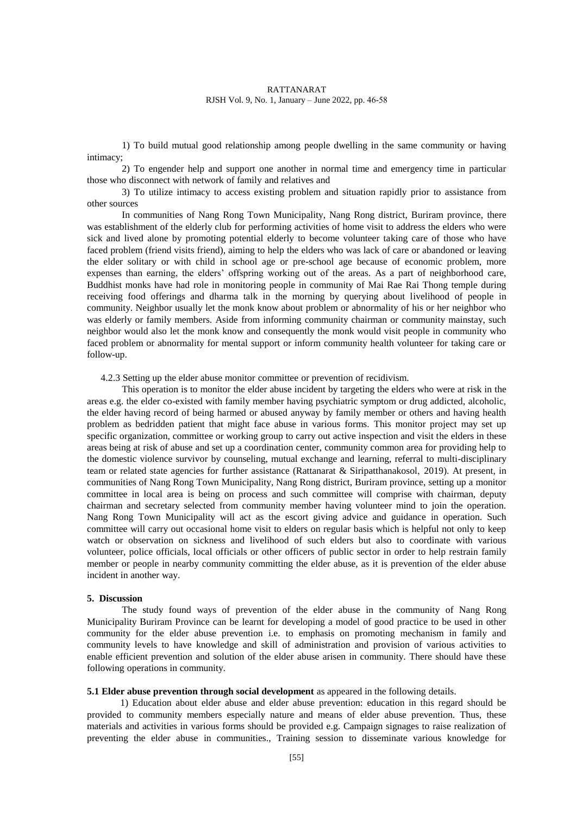1) To build mutual good relationship among people dwelling in the same community or having intimacy;

2) To engender help and support one another in normal time and emergency time in particular those who disconnect with network of family and relatives and

3) To utilize intimacy to access existing problem and situation rapidly prior to assistance from other sources

In communities of Nang Rong Town Municipality, Nang Rong district, Buriram province, there was establishment of the elderly club for performing activities of home visit to address the elders who were sick and lived alone by promoting potential elderly to become volunteer taking care of those who have faced problem (friend visits friend), aiming to help the elders who was lack of care or abandoned or leaving the elder solitary or with child in school age or pre-school age because of economic problem, more expenses than earning, the elders' offspring working out of the areas. As a part of neighborhood care, Buddhist monks have had role in monitoring people in community of Mai Rae Rai Thong temple during receiving food offerings and dharma talk in the morning by querying about livelihood of people in community. Neighbor usually let the monk know about problem or abnormality of his or her neighbor who was elderly or family members. Aside from informing community chairman or community mainstay, such neighbor would also let the monk know and consequently the monk would visit people in community who faced problem or abnormality for mental support or inform community health volunteer for taking care or follow-up.

4.2.3 Setting up the elder abuse monitor committee or prevention of recidivism.

This operation is to monitor the elder abuse incident by targeting the elders who were at risk in the areas e.g. the elder co-existed with family member having psychiatric symptom or drug addicted, alcoholic, the elder having record of being harmed or abused anyway by family member or others and having health problem as bedridden patient that might face abuse in various forms. This monitor project may set up specific organization, committee or working group to carry out active inspection and visit the elders in these areas being at risk of abuse and set up a coordination center, community common area for providing help to the domestic violence survivor by counseling, mutual exchange and learning, referral to multi-disciplinary team or related state agencies for further assistance (Rattanarat & Siripatthanakosol, 2019). At present, in communities of Nang Rong Town Municipality, Nang Rong district, Buriram province, setting up a monitor committee in local area is being on process and such committee will comprise with chairman, deputy chairman and secretary selected from community member having volunteer mind to join the operation. Nang Rong Town Municipality will act as the escort giving advice and guidance in operation. Such committee will carry out occasional home visit to elders on regular basis which is helpful not only to keep watch or observation on sickness and livelihood of such elders but also to coordinate with various volunteer, police officials, local officials or other officers of public sector in order to help restrain family member or people in nearby community committing the elder abuse, as it is prevention of the elder abuse incident in another way.

### **5. Discussion**

The study found ways of prevention of the elder abuse in the community of Nang Rong Municipality Buriram Province can be learnt for developing a model of good practice to be used in other community for the elder abuse prevention i.e. to emphasis on promoting mechanism in family and community levels to have knowledge and skill of administration and provision of various activities to enable efficient prevention and solution of the elder abuse arisen in community. There should have these following operations in community.

#### **5.1 Elder abuse prevention through social development** as appeared in the following details.

1) Education about elder abuse and elder abuse prevention: education in this regard should be provided to community members especially nature and means of elder abuse prevention. Thus, these materials and activities in various forms should be provided e.g. Campaign signages to raise realization of preventing the elder abuse in communities., Training session to disseminate various knowledge for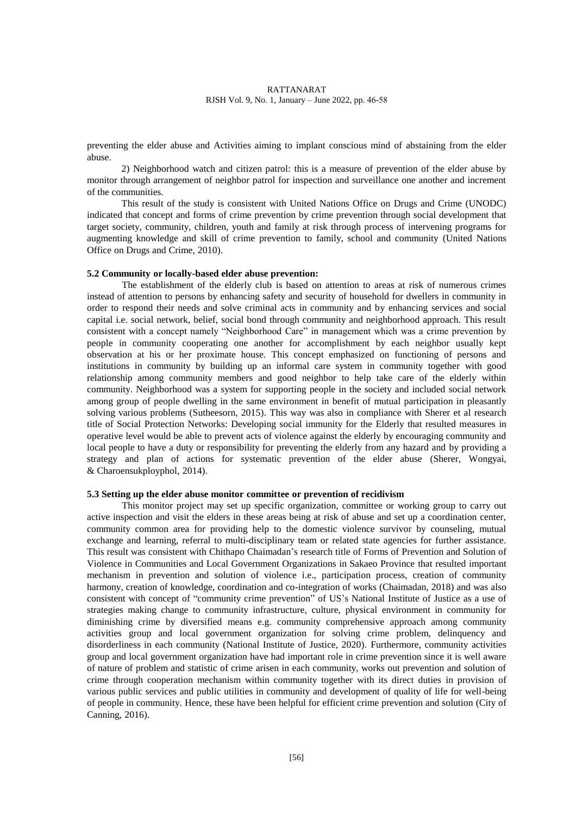preventing the elder abuse and Activities aiming to implant conscious mind of abstaining from the elder abuse.

2) Neighborhood watch and citizen patrol: this is a measure of prevention of the elder abuse by monitor through arrangement of neighbor patrol for inspection and surveillance one another and increment of the communities.

This result of the study is consistent with United Nations Office on Drugs and Crime (UNODC) indicated that concept and forms of crime prevention by crime prevention through social development that target society, community, children, youth and family at risk through process of intervening programs for augmenting knowledge and skill of crime prevention to family, school and community (United Nations Office on Drugs and Crime, 2010).

#### **5.2 Community or locally-based elder abuse prevention:**

The establishment of the elderly club is based on attention to areas at risk of numerous crimes instead of attention to persons by enhancing safety and security of household for dwellers in community in order to respond their needs and solve criminal acts in community and by enhancing services and social capital i.e. social network, belief, social bond through community and neighborhood approach. This result consistent with a concept namely "Neighborhood Care" in management which was a crime prevention by people in community cooperating one another for accomplishment by each neighbor usually kept observation at his or her proximate house. This concept emphasized on functioning of persons and institutions in community by building up an informal care system in community together with good relationship among community members and good neighbor to help take care of the elderly within community. Neighborhood was a system for supporting people in the society and included social network among group of people dwelling in the same environment in benefit of mutual participation in pleasantly solving various problems (Sutheesorn, 2015). This way was also in compliance with Sherer et al research title of Social Protection Networks: Developing social immunity for the Elderly that resulted measures in operative level would be able to prevent acts of violence against the elderly by encouraging community and local people to have a duty or responsibility for preventing the elderly from any hazard and by providing a strategy and plan of actions for systematic prevention of the elder abuse (Sherer, Wongyai, & Charoensukployphol, 2014).

#### **5.3 Setting up the elder abuse monitor committee or prevention of recidivism**

This monitor project may set up specific organization, committee or working group to carry out active inspection and visit the elders in these areas being at risk of abuse and set up a coordination center, community common area for providing help to the domestic violence survivor by counseling, mutual exchange and learning, referral to multi-disciplinary team or related state agencies for further assistance. This result was consistent with Chithapo Chaimadan's research title of Forms of Prevention and Solution of Violence in Communities and Local Government Organizations in Sakaeo Province that resulted important mechanism in prevention and solution of violence i.e., participation process, creation of community harmony, creation of knowledge, coordination and co-integration of works (Chaimadan, 2018) and was also consistent with concept of "community crime prevention" of US's National Institute of Justice as a use of strategies making change to community infrastructure, culture, physical environment in community for diminishing crime by diversified means e.g. community comprehensive approach among community activities group and local government organization for solving crime problem, delinquency and disorderliness in each community (National Institute of Justice, 2020). Furthermore, community activities group and local government organization have had important role in crime prevention since it is well aware of nature of problem and statistic of crime arisen in each community, works out prevention and solution of crime through cooperation mechanism within community together with its direct duties in provision of various public services and public utilities in community and development of quality of life for well-being of people in community. Hence, these have been helpful for efficient crime prevention and solution (City of Canning, 2016).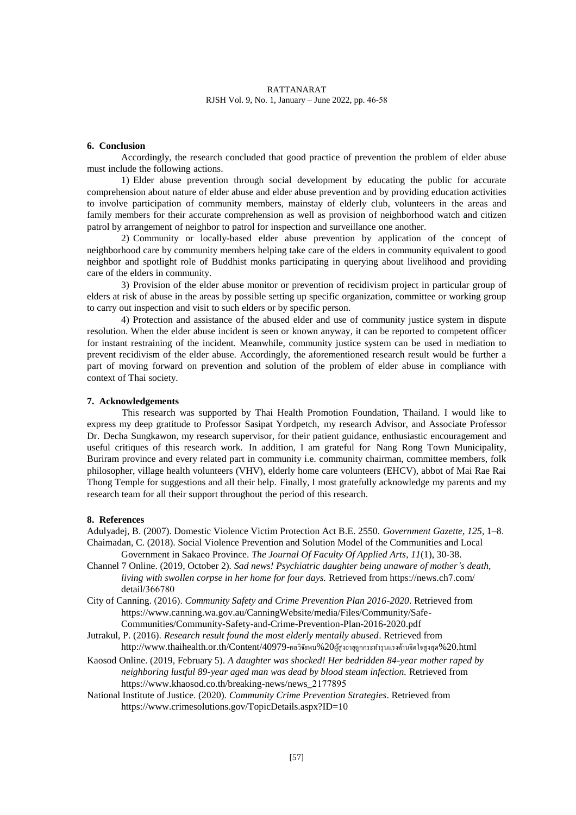# **6. Conclusion**

Accordingly, the research concluded that good practice of prevention the problem of elder abuse must include the following actions.

1) Elder abuse prevention through social development by educating the public for accurate comprehension about nature of elder abuse and elder abuse prevention and by providing education activities to involve participation of community members, mainstay of elderly club, volunteers in the areas and family members for their accurate comprehension as well as provision of neighborhood watch and citizen patrol by arrangement of neighbor to patrol for inspection and surveillance one another.

2) Community or locally-based elder abuse prevention by application of the concept of neighborhood care by community members helping take care of the elders in community equivalent to good neighbor and spotlight role of Buddhist monks participating in querying about livelihood and providing care of the elders in community.

3) Provision of the elder abuse monitor or prevention of recidivism project in particular group of elders at risk of abuse in the areas by possible setting up specific organization, committee or working group to carry out inspection and visit to such elders or by specific person.

4) Protection and assistance of the abused elder and use of community justice system in dispute resolution. When the elder abuse incident is seen or known anyway, it can be reported to competent officer for instant restraining of the incident. Meanwhile, community justice system can be used in mediation to prevent recidivism of the elder abuse. Accordingly, the aforementioned research result would be further a part of moving forward on prevention and solution of the problem of elder abuse in compliance with context of Thai society.

### **7. Acknowledgements**

This research was supported by Thai Health Promotion Foundation, Thailand. I would like to express my deep gratitude to Professor Sasipat Yordpetch, my research Advisor, and Associate Professor Dr. Decha Sungkawon, my research supervisor, for their patient guidance, enthusiastic encouragement and useful critiques of this research work. In addition, I am grateful for Nang Rong Town Municipality, Buriram province and every related part in community i.e. community chairman, committee members, folk philosopher, village health volunteers (VHV), elderly home care volunteers (EHCV), abbot of Mai Rae Rai Thong Temple for suggestions and all their help. Finally, I most gratefully acknowledge my parents and my research team for all their support throughout the period of this research.

#### **8. References**

Adulyadej, B. (2007). Domestic Violence Victim Protection Act B.E. 2550. *Government Gazette*, *125*, 1–8. Chaimadan, C. (2018). Social Violence Prevention and Solution Model of the Communities and Local

Government in Sakaeo Province. *The Journal Of Faculty Of Applied Arts*, *11*(1), 30-38. Channel 7 Online. (2019, October 2). *Sad news! Psychiatric daughter being unaware of mother's death,* 

- *living with swollen corpse in her home for four days.* Retrieved from https://news.ch7.com/ detail/366780
- City of Canning. (2016). *Community Safety and Crime Prevention Plan 2016-2020*. Retrieved from https://www.canning.wa.gov.au/CanningWebsite/media/Files/Community/Safe-Communities/Community-Safety-and-Crime-Prevention-Plan-2016-2020.pdf
- Jutrakul, P. (2016). *Research result found the most elderly mentally abused*. Retrieved from http://www.thaihealth.or.th/Content/40979-ผลวิจัยพบ%20ผู้สูงอายุถูกกระท ารุนแรงด้านจิตใจสูงสุด%20.html
- Kaosod Online. (2019, February 5)*. A daughter was shocked! Her bedridden 84-year mother raped by neighboring lustful 89-year aged man was dead by blood steam infection.* Retrieved from https://www.khaosod.co.th/breaking-news/news\_2177895
- National Institute of Justice. (2020). *Community Crime Prevention Strategies*. Retrieved from https://www.crimesolutions.gov/TopicDetails.aspx?ID=10